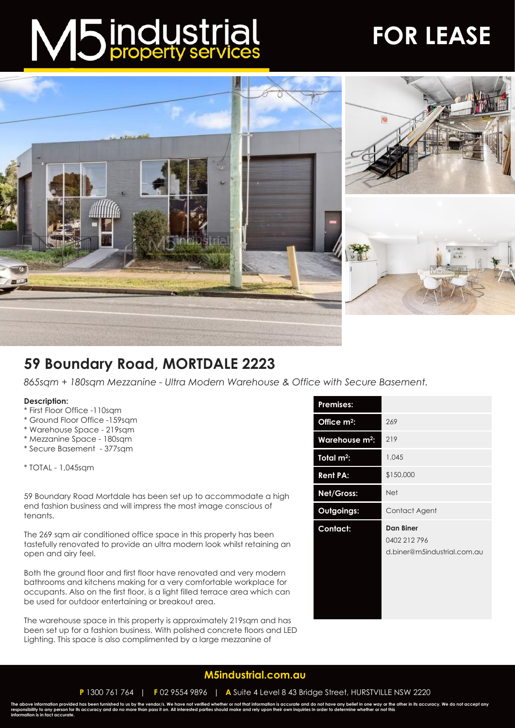# M5 industrial

## **FOR LEASE**



### **59 Boundary Road, MORTDALE 2223**

*865sqm + 180sqm Mezzanine - Ultra Modern Warehouse & Office with Secure Basement.*

#### **Description:**

- \* First Floor Office -110sqm
- \* Ground Floor Office -159sqm
- \* Warehouse Space 219sqm
- \* Mezzanine Space 180sqm
- \* Secure Basement 377sqm

\* TOTAL - 1,045sqm

59 Boundary Road Mortdale has been set up to accommodate a high end fashion business and will impress the most image conscious of tenants.

The 269 sqm air conditioned office space in this property has been tastefully renovated to provide an ultra modern look whilst retaining an open and airy feel.

Both the ground floor and first floor have renovated and very modern bathrooms and kitchens making for a very comfortable workplace for occupants. Also on the first floor, is a light filled terrace area which can be used for outdoor entertaining or breakout area.

The warehouse space in this property is approximately 219sqm and has been set up for a fashion business. With polished concrete floors and LED Lighting. This space is also complimented by a large mezzanine of

| <b>Premises:</b>           |                                                                 |
|----------------------------|-----------------------------------------------------------------|
| Office $m^2$ :             | 269                                                             |
| Warehouse m <sup>2</sup> : | 219                                                             |
| Total $m^2$ :              | 1,045                                                           |
| <b>Rent PA:</b>            | \$150,000                                                       |
| Net/Gross:                 | <b>Net</b>                                                      |
| Outgoings:                 | Contact Agent                                                   |
| Contact:                   | <b>Dan Biner</b><br>0402 212 796<br>d.biner@m5industrial.com.au |

#### **[M5industrial.com.au](http://www.m5industrial.com.au/)**

**P** 1300 761 764 | **F** 02 9554 9896 | **A** Suite 4 Level 8 43 Bridge Street, HURSTVILLE NSW 2220

The above information provided has been furnished to us by the vendor/s. We have not verified whether or not that information is accurate and do not have any belief in one way or the other in its accuracy. We do not accept **information is in fact accurate.**